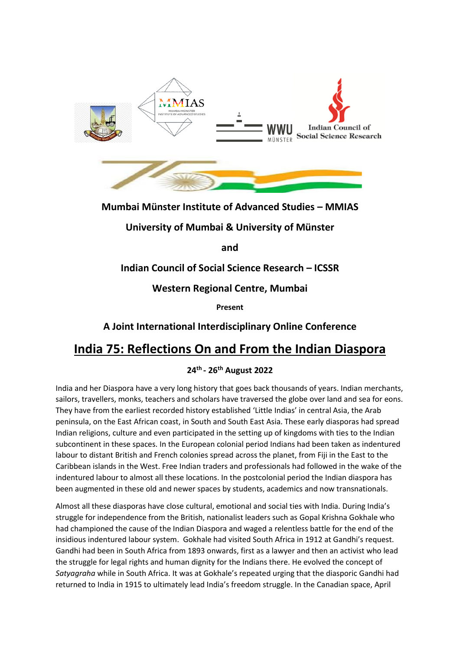

# **Mumbai Münster Institute of Advanced Studies – MMIAS**

# **University of Mumbai & University of Münster**

**and** 

# **Indian Council of Social Science Research – ICSSR**

# **Western Regional Centre, Mumbai**

**Present** 

# **A Joint International Interdisciplinary Online Conference**

# **India 75: Reflections On and From the Indian Diaspora**

#### **24th - 26th August 2022**

India and her Diaspora have a very long history that goes back thousands of years. Indian merchants, sailors, travellers, monks, teachers and scholars have traversed the globe over land and sea for eons. They have from the earliest recorded history established 'Little Indias' in central Asia, the Arab peninsula, on the East African coast, in South and South East Asia. These early diasporas had spread Indian religions, culture and even participated in the setting up of kingdoms with ties to the Indian subcontinent in these spaces. In the European colonial period Indians had been taken as indentured labour to distant British and French colonies spread across the planet, from Fiji in the East to the Caribbean islands in the West. Free Indian traders and professionals had followed in the wake of the indentured labour to almost all these locations. In the postcolonial period the Indian diaspora has been augmented in these old and newer spaces by students, academics and now transnationals.

Almost all these diasporas have close cultural, emotional and social ties with India. During India's struggle for independence from the British, nationalist leaders such as Gopal Krishna Gokhale who had championed the cause of the Indian Diaspora and waged a relentless battle for the end of the insidious indentured labour system. Gokhale had visited South Africa in 1912 at Gandhi's request. Gandhi had been in South Africa from 1893 onwards, first as a lawyer and then an activist who lead the struggle for legal rights and human dignity for the Indians there. He evolved the concept of *Satyagraha* while in South Africa. It was at Gokhale's repeated urging that the diasporic Gandhi had returned to India in 1915 to ultimately lead India's freedom struggle. In the Canadian space, April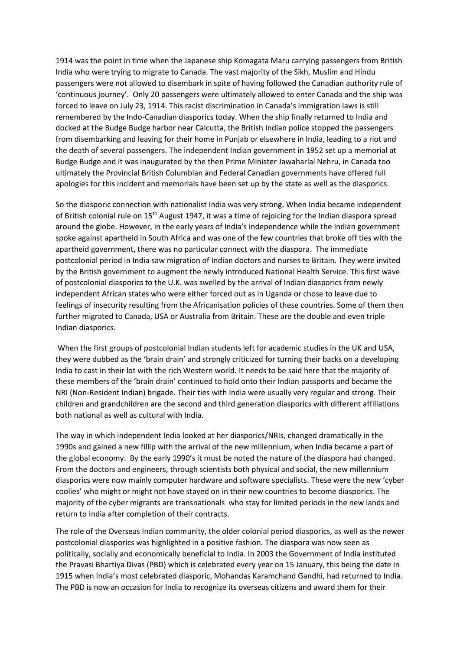1914 was the point in time when the Japanese ship Komagata Maru carrying passengers from British India who were trying to migrate to Canada. The vast majority of the Sikh, Muslim and Hindu passengers were not allowed to disembark in spite of having followed the Canadian authority rule of 'continuous journey'. Only 20 passengers were ultimately allowed to enter Canada and the ship was forced to leave on July 23, 1914. This racist discrimination in Canada's immigration laws is still remembered by the Indo-Canadian diasporics today. When the ship finally returned to India and docked at the Budge Budge harbor near Calcutta, the British Indian police stopped the passengers from disembarking and leaving for their home in Punjab or elsewhere in India, leading to a riot and the death of several passengers. The independent Indian government in 1952 set up a memorial at Budge Budge and it was inaugurated by the then Prime Minister Jawaharlal Nehru, in Canada too ultimately the Provincial British Columbian and Federal Canadian governments have offered full apologies for this incident and memorials have been set up by the state as well as the diasporics.

So the diasporic connection with nationalist India was very strong. When India became independent of British colonial rule on 15<sup>th</sup> August 1947, it was a time of rejoicing for the Indian diaspora spread around the globe. However, in the early years of India's independence while the Indian government spoke against apartheid in South Africa and was one of the few countries that broke off ties with the apartheid government, there was no particular connect with the diaspora. The immediate postcolonial period in India saw migration of Indian doctors and nurses to Britain. They were invited by the British government to augment the newly introduced National Health Service. This first wave of postcolonial diasporics to the U.K. was swelled by the arrival of Indian diasporics from newly independent African states who were either forced out as in Uganda or chose to leave due to feelings of insecurity resulting from the Africanisation policies of these countries. Some of them then further migrated to Canada, USA or Australia from Britain. These are the double and even triple Indian diasporics.

When the first groups of postcolonial Indian students left for academic studies in the UK and USA, they were dubbed as the 'brain drain' and strongly criticized for turning their backs on a developing India to cast in their lot with the rich Western world. It needs to be said here that the majority of these members of the 'brain drain' continued to hold onto their Indian passports and became the NRI (Non-Resident Indian) brigade. Their ties with India were usually very regular and strong. Their children and grandchildren are the second and third generation diasporics with different affiliations both national as well as cultural with India.

The way in which independent India looked at her diasporics/NRIs, changed dramatically in the 1990s and gained a new fillip with the arrival of the new millennium, when India became a part of the global economy. By the early 1990's it must be noted the nature of the diaspora had changed. From the doctors and engineers, through scientists both physical and social, the new millennium diasporics were now mainly computer hardware and software specialists. These were the new 'cyber coolies' who might or might not have stayed on in their new countries to become diasporics. The majority of the cyber migrants are transnationals who stay for limited periods in the new lands and return to India after completion of their contracts.

The role of the Overseas Indian community, the older colonial period diasporics, as well as the newer postcolonial diasporics was highlighted in a positive fashion. The diaspora was now seen as politically, socially and economically beneficial to India. In 2003 the Government of India instituted the Pravasi Bhartiya Divas (PBD) which is celebrated every year on 15 January, this being the date in 1915 when India's most celebrated diasporic, Mohandas Karamchand Gandhi, had returned to India. The PBD is now an occasion for India to recognize its overseas citizens and award them for their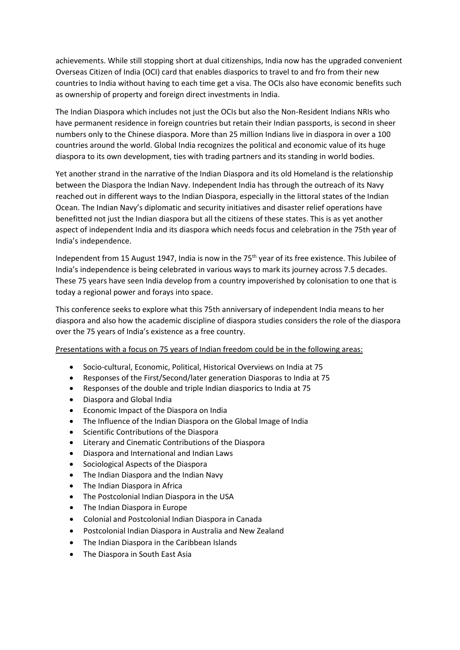achievements. While still stopping short at dual citizenships, India now has the upgraded convenient Overseas Citizen of India (OCI) card that enables diasporics to travel to and fro from their new countries to India without having to each time get a visa. The OCIs also have economic benefits such as ownership of property and foreign direct investments in India.

The Indian Diaspora which includes not just the OCIs but also the Non-Resident Indians NRIs who have permanent residence in foreign countries but retain their Indian passports, is second in sheer numbers only to the Chinese diaspora. More than 25 million Indians live in diaspora in over a 100 countries around the world. Global India recognizes the political and economic value of its huge diaspora to its own development, ties with trading partners and its standing in world bodies.

Yet another strand in the narrative of the Indian Diaspora and its old Homeland is the relationship between the Diaspora the Indian Navy. Independent India has through the outreach of its Navy reached out in different ways to the Indian Diaspora, especially in the littoral states of the Indian Ocean. The Indian Navy's diplomatic and security initiatives and disaster relief operations have benefitted not just the Indian diaspora but all the citizens of these states. This is as yet another aspect of independent India and its diaspora which needs focus and celebration in the 75th year of India's independence.

Independent from 15 August 1947, India is now in the 75<sup>th</sup> year of its free existence. This Jubilee of India's independence is being celebrated in various ways to mark its journey across 7.5 decades. These 75 years have seen India develop from a country impoverished by colonisation to one that is today a regional power and forays into space.

This conference seeks to explore what this 75th anniversary of independent India means to her diaspora and also how the academic discipline of diaspora studies considers the role of the diaspora over the 75 years of India's existence as a free country.

#### Presentations with a focus on 75 years of Indian freedom could be in the following areas:

- Socio-cultural, Economic, Political, Historical Overviews on India at 75
- Responses of the First/Second/later generation Diasporas to India at 75
- Responses of the double and triple Indian diasporics to India at 75
- Diaspora and Global India
- Economic Impact of the Diaspora on India
- The Influence of the Indian Diaspora on the Global Image of India
- Scientific Contributions of the Diaspora
- Literary and Cinematic Contributions of the Diaspora
- Diaspora and International and Indian Laws
- Sociological Aspects of the Diaspora
- The Indian Diaspora and the Indian Navy
- The Indian Diaspora in Africa
- The Postcolonial Indian Diaspora in the USA
- The Indian Diaspora in Europe
- Colonial and Postcolonial Indian Diaspora in Canada
- Postcolonial Indian Diaspora in Australia and New Zealand
- The Indian Diaspora in the Caribbean Islands
- The Diaspora in South East Asia